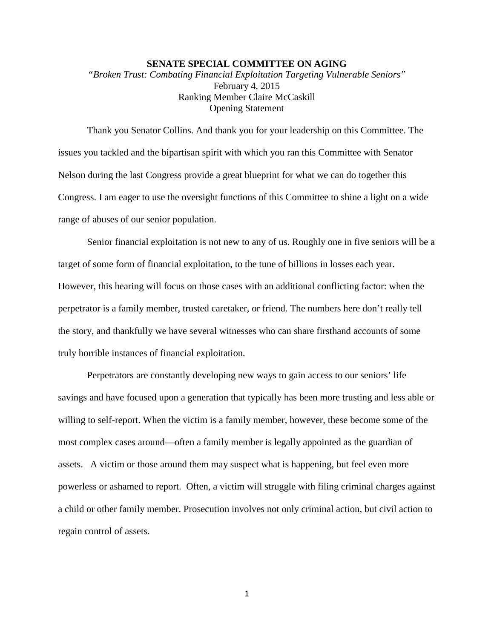## **SENATE SPECIAL COMMITTEE ON AGING**

*"Broken Trust: Combating Financial Exploitation Targeting Vulnerable Seniors"* February 4, 2015 Ranking Member Claire McCaskill Opening Statement

Thank you Senator Collins. And thank you for your leadership on this Committee. The issues you tackled and the bipartisan spirit with which you ran this Committee with Senator Nelson during the last Congress provide a great blueprint for what we can do together this Congress. I am eager to use the oversight functions of this Committee to shine a light on a wide range of abuses of our senior population.

Senior financial exploitation is not new to any of us. Roughly one in five seniors will be a target of some form of financial exploitation, to the tune of billions in losses each year. However, this hearing will focus on those cases with an additional conflicting factor: when the perpetrator is a family member, trusted caretaker, or friend. The numbers here don't really tell the story, and thankfully we have several witnesses who can share firsthand accounts of some truly horrible instances of financial exploitation.

Perpetrators are constantly developing new ways to gain access to our seniors' life savings and have focused upon a generation that typically has been more trusting and less able or willing to self-report. When the victim is a family member, however, these become some of the most complex cases around—often a family member is legally appointed as the guardian of assets. A victim or those around them may suspect what is happening, but feel even more powerless or ashamed to report. Often, a victim will struggle with filing criminal charges against a child or other family member. Prosecution involves not only criminal action, but civil action to regain control of assets.

1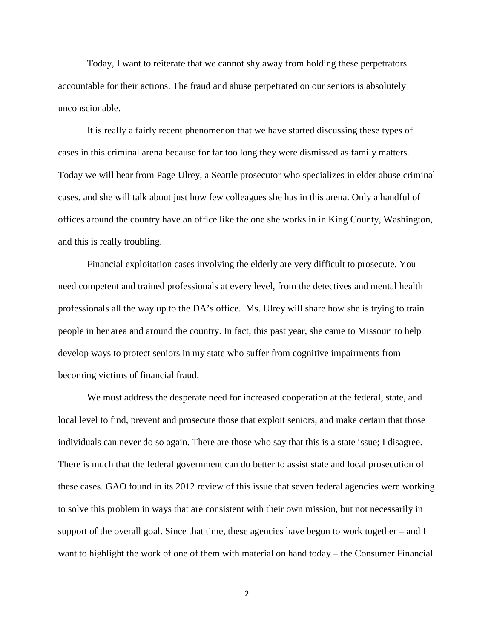Today, I want to reiterate that we cannot shy away from holding these perpetrators accountable for their actions. The fraud and abuse perpetrated on our seniors is absolutely unconscionable.

It is really a fairly recent phenomenon that we have started discussing these types of cases in this criminal arena because for far too long they were dismissed as family matters. Today we will hear from Page Ulrey, a Seattle prosecutor who specializes in elder abuse criminal cases, and she will talk about just how few colleagues she has in this arena. Only a handful of offices around the country have an office like the one she works in in King County, Washington, and this is really troubling.

Financial exploitation cases involving the elderly are very difficult to prosecute. You need competent and trained professionals at every level, from the detectives and mental health professionals all the way up to the DA's office. Ms. Ulrey will share how she is trying to train people in her area and around the country. In fact, this past year, she came to Missouri to help develop ways to protect seniors in my state who suffer from cognitive impairments from becoming victims of financial fraud.

We must address the desperate need for increased cooperation at the federal, state, and local level to find, prevent and prosecute those that exploit seniors, and make certain that those individuals can never do so again. There are those who say that this is a state issue; I disagree. There is much that the federal government can do better to assist state and local prosecution of these cases. GAO found in its 2012 review of this issue that seven federal agencies were working to solve this problem in ways that are consistent with their own mission, but not necessarily in support of the overall goal. Since that time, these agencies have begun to work together – and I want to highlight the work of one of them with material on hand today – the Consumer Financial

2